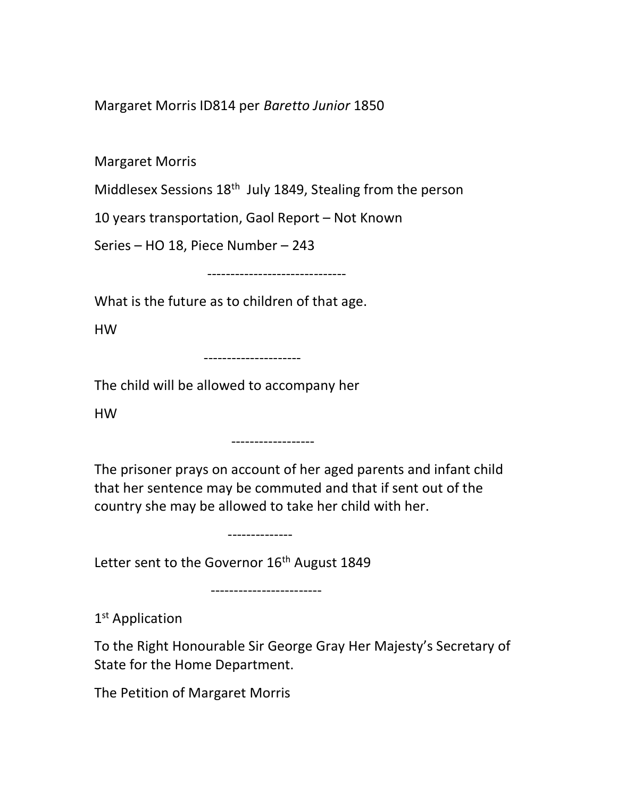Margaret Morris ID814 per Baretto Junior 1850

Margaret Morris

Middlesex Sessions 18<sup>th</sup> July 1849, Stealing from the person

10 years transportation, Gaol Report – Not Known

Series – HO 18, Piece Number – 243

------------------------------

What is the future as to children of that age.

HW

---------------------

The child will be allowed to accompany her

HW

The prisoner prays on account of her aged parents and infant child that her sentence may be commuted and that if sent out of the country she may be allowed to take her child with her.

--------------

------------------

Letter sent to the Governor 16<sup>th</sup> August 1849

------------------------

1<sup>st</sup> Application

To the Right Honourable Sir George Gray Her Majesty's Secretary of State for the Home Department.

The Petition of Margaret Morris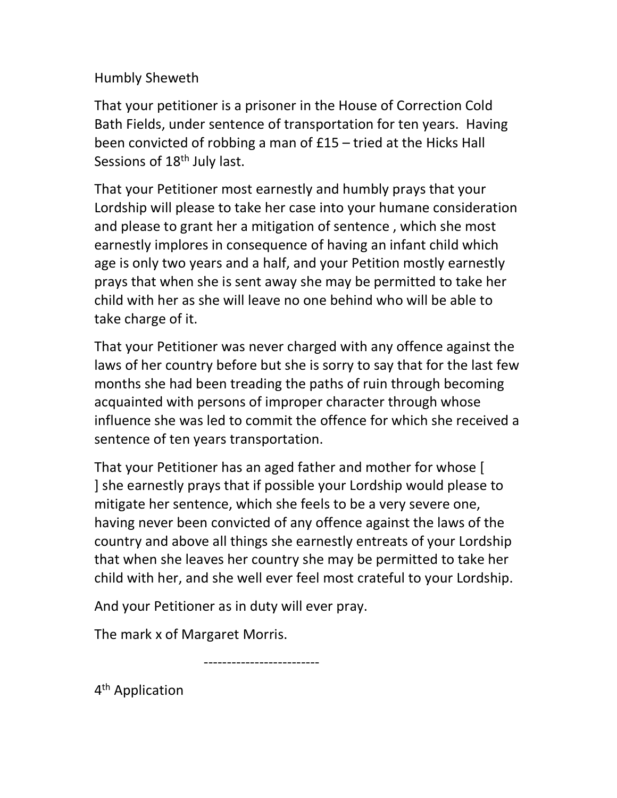Humbly Sheweth

That your petitioner is a prisoner in the House of Correction Cold Bath Fields, under sentence of transportation for ten years. Having been convicted of robbing a man of £15 – tried at the Hicks Hall Sessions of 18<sup>th</sup> July last.

That your Petitioner most earnestly and humbly prays that your Lordship will please to take her case into your humane consideration and please to grant her a mitigation of sentence , which she most earnestly implores in consequence of having an infant child which age is only two years and a half, and your Petition mostly earnestly prays that when she is sent away she may be permitted to take her child with her as she will leave no one behind who will be able to take charge of it.

That your Petitioner was never charged with any offence against the laws of her country before but she is sorry to say that for the last few months she had been treading the paths of ruin through becoming acquainted with persons of improper character through whose influence she was led to commit the offence for which she received a sentence of ten years transportation.

That your Petitioner has an aged father and mother for whose [ ] she earnestly prays that if possible your Lordship would please to mitigate her sentence, which she feels to be a very severe one, having never been convicted of any offence against the laws of the country and above all things she earnestly entreats of your Lordship that when she leaves her country she may be permitted to take her child with her, and she well ever feel most crateful to your Lordship.

And your Petitioner as in duty will ever pray.

The mark x of Margaret Morris.

-------------------------

4<sup>th</sup> Application